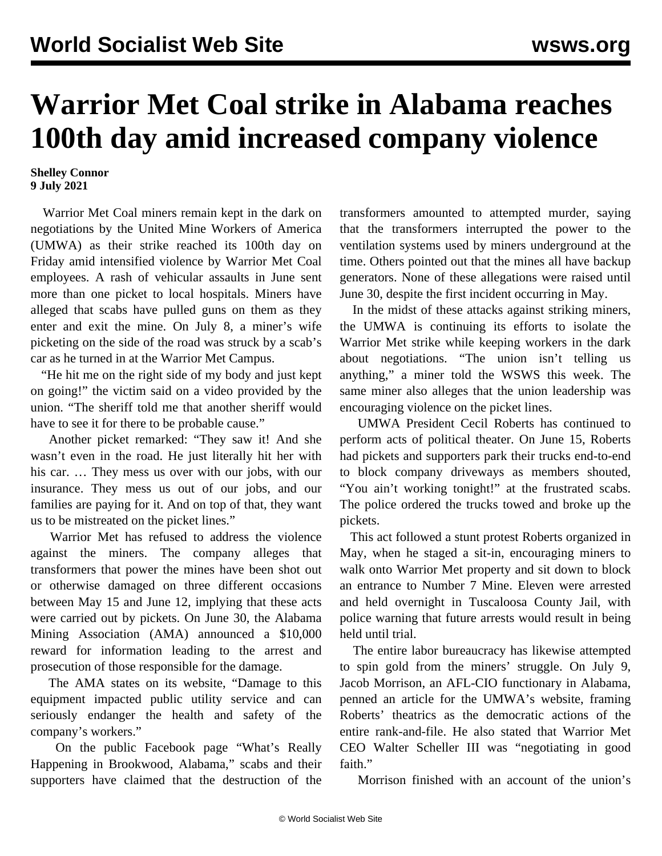## **Warrior Met Coal strike in Alabama reaches 100th day amid increased company violence**

## **Shelley Connor 9 July 2021**

 Warrior Met Coal miners remain kept in the dark on negotiations by the United Mine Workers of America (UMWA) as their strike reached its 100th day on Friday amid intensified violence by Warrior Met Coal employees. A rash of vehicular assaults in June sent more than one picket to local hospitals. Miners have alleged that scabs have pulled guns on them as they enter and exit the mine. On July 8, a miner's wife picketing on the side of the road was struck by a scab's car as he turned in at the Warrior Met Campus.

 "He hit me on the right side of my body and just kept on going!" the victim said on a video provided by the union. "The sheriff told me that another sheriff would have to see it for there to be probable cause."

 Another picket remarked: "They saw it! And she wasn't even in the road. He just literally hit her with his car. … They mess us over with our jobs, with our insurance. They mess us out of our jobs, and our families are paying for it. And on top of that, they want us to be mistreated on the picket lines."

 Warrior Met has refused to address the violence against the miners. The company alleges that transformers that power the mines have been shot out or otherwise damaged on three different occasions between May 15 and June 12, implying that these acts were carried out by pickets. On June 30, the Alabama Mining Association (AMA) announced a \$10,000 reward for information leading to the arrest and prosecution of those responsible for the damage.

 The AMA states on its website, "Damage to this equipment impacted public utility service and can seriously endanger the health and safety of the company's workers."

 On the public Facebook page "What's Really Happening in Brookwood, Alabama," scabs and their supporters have claimed that the destruction of the transformers amounted to attempted murder, saying that the transformers interrupted the power to the ventilation systems used by miners underground at the time. Others pointed out that the mines all have backup generators. None of these allegations were raised until June 30, despite the first incident occurring in May.

 In the midst of these attacks against striking miners, the UMWA is continuing its efforts to isolate the Warrior Met strike while keeping workers in the dark about negotiations. "The union isn't telling us anything," a miner told the WSWS this week. The same miner also alleges that the union leadership was encouraging violence on the picket lines.

 UMWA President Cecil Roberts has continued to perform acts of political theater. On June 15, Roberts had pickets and supporters park their trucks end-to-end to block company driveways as members shouted, "You ain't working tonight!" at the frustrated scabs. The police ordered the trucks towed and broke up the pickets.

 This act followed a stunt protest Roberts organized in May, when he staged a sit-in, encouraging miners to walk onto Warrior Met property and sit down to block an entrance to Number 7 Mine. Eleven were arrested and held overnight in Tuscaloosa County Jail, with police warning that future arrests would result in being held until trial.

 The entire labor bureaucracy has likewise attempted to spin gold from the miners' struggle. On July 9, Jacob Morrison, an AFL-CIO functionary in Alabama, penned an article for the UMWA's website, framing Roberts' theatrics as the democratic actions of the entire rank-and-file. He also stated that Warrior Met CEO Walter Scheller III was "negotiating in good faith."

Morrison finished with an account of the union's